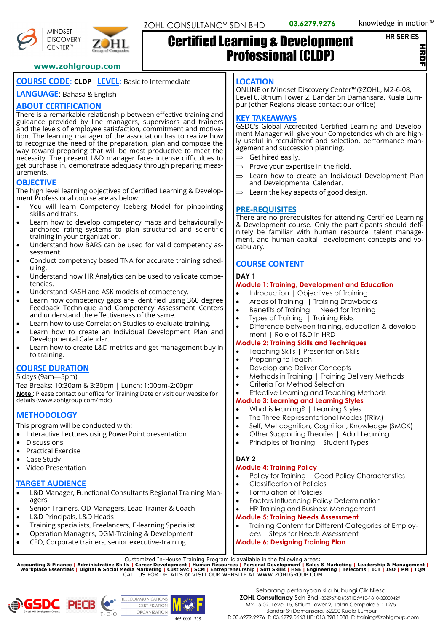```
HR SERIES
```
HRDF

#### **www.zohlgroup.com**

# **COURSE CODE**: **CLDP LEVEL**: Basic to Intermediate

**LANGUAGE**: Bahasa & English

# **ABOUT CERTIFICATION**

There is a remarkable relationship between effective training and guidance provided by line managers, supervisors and trainers and the levels of employee satisfaction, commitment and motivation. The learning manager of the association has to realize how to recognize the need of the preparation, plan and compose the way toward preparing that will be most productive to meet the necessity. The present L&D manager faces intense difficulties to get purchase in, demonstrate adequacy through preparing measurements.

# **OBJECTIVE**

The high level learning objectives of Certified Learning & Development Professional course are as below:

- You will learn Competency Iceberg Model for pinpointing skills and traits.
- Learn how to develop competency maps and behaviourallyanchored rating systems to plan structured and scientific training in your organization.
- Understand how BARS can be used for valid competency assessment.
- Conduct competency based TNA for accurate training scheduling.
- Understand how HR Analytics can be used to validate competencies.
- Understand KASH and ASK models of competency.
- Learn how competency gaps are identified using 360 degree Feedback Technique and Competency Assessment Centers and understand the effectiveness of the same.
- Learn how to use Correlation Studies to evaluate training.
- Learn how to create an Individual Development Plan and Developmental Calendar.
- Learn how to create L&D metrics and get management buy in to training.

# **COURSE DURATION**

#### 5 days (9am—5pm)

Tea Breaks: 10:30am & 3:30pm | Lunch: 1:00pm-2:00pm **Note** : Please contact our office for Training Date or visit our website for details (www.zohlgroup.com/mdc)

# **METHODOLOGY**

This program will be conducted with:

- Interactive Lectures using PowerPoint presentation
- Discussions
- Practical Exercise
- Case Study
- Video Presentation

# **TARGET AUDIENCE**

- L&D Manager, Functional Consultants Regional Training Managers
- Senior Trainers, OD Managers, Lead Trainer & Coach
- L&D Principals, L&D Heads
- Training specialists, Freelancers, E-learning Specialist
- Operation Managers, DGM-Training & Development
- CFO, Corporate trainers, senior executive-training

#### **LOCATION**

Certified Learning & Development

Professional (CLDP)

ONLINE or Mindset Discovery Center™@ZOHL, M2-6-08, Level 6, 8trium Tower 2, Bandar Sri Damansara, Kuala Lumpur (other Regions please contact our office)

#### **KEY TAKEAWAYS**

GSDC's Global Accredited Certified Learning and Development Manager will give your Competencies which are highly useful in recruitment and selection, performance management and succession planning.

- $\Rightarrow$  Get hired easily.
- $\Rightarrow$  Prove your expertise in the field.
- $\Rightarrow$  Learn how to create an Individual Development Plan and Developmental Calendar.
- $\Rightarrow$  Learn the key aspects of good design.

#### **PRE-REQUISITES**

There are no prerequisites for attending Certified Learning & Development course. Only the participants should definitely be familiar with human resource, talent management, and human capital development concepts and vocabulary.

# **COURSE CONTENT**

#### **DAY 1**

#### **Module 1: Training, Development and Education**

- Introduction | Objectives of Training
- Areas of Training | Training Drawbacks
- Benefits of Training | Need for Training
- Types of Training | Training Risks
- Difference between training, education & development | Role of T&D in HRD

# **Module 2: Training Skills and Techniques**

- Teaching Skills | Presentation Skills
- Preparing to Teach
- Develop and Deliver Concepts
- Methods in Training | Training Delivery Methods
- Criteria For Method Selection
- Effective Learning and Teaching Methods

#### **Module 3: Learning and Learning Styles**

- What is learning? | Learning Styles
- The Three Representational Modes (TRiM)
- Self, Met cognition, Cognition, Knowledge (SMCK)
- Other Supporting Theories | Adult Learning
- Principles of Training | Student Types

# **DAY 2**

# **Module 4: Training Policy**

- Policy for Training | Good Policy Characteristics
- Classification of Policies
- Formulation of Policies
- Factors Influencing Policy Determination
- HR Training and Business Management

#### **Module 5: Training Needs Assessment**

• Training Content for Different Categories of Employees | Steps for Needs Assessment

# **Module 6: Designing Training Plan**

Customized In-House Training Program is available in the following areas:<br>Accounting & Finance | Administrative Skills | Career Development | Human Resources | Personal Development | Sales & Marketing | Leadership & Manag









**MINDSET DISCOVERY** CENTER™

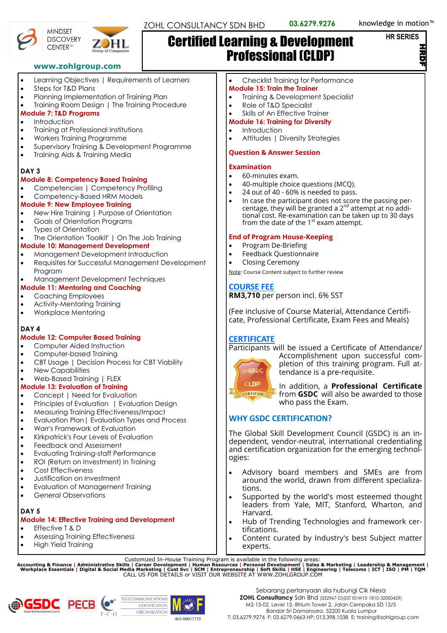#### **HR SERIES**

.<br>르







#### **www.zohlgroup.com**

- Learning Objectives | Requirements of Learners
- Steps for T&D Plans
- Planning Implementation of Training Plan
- Training Room Design | The Training Procedure

# **Module 7: T&D Programs**

- **Introduction**
- Training at Professional Institutions
- Workers Training Programme
- Supervisory Training & Development Programme
- Training Aids & Training Media

# **DAY 3**

#### **Module 8: Competency Based Training**

- Competencies | Competency Profiling
- Competency-Based HRM Models

# **Module 9: New Employee Training**

- New Hire Training | Purpose of Orientation
- Goals of Orientation Programs
- Types of Orientation
- The Orientation 'Toolkit' | On The Job Training

# **Module 10: Management Development**

- Management Development Introduction
- Requisites for Successful Management Development Program

# • Management Development Techniques

- **Module 11: Mentoring and Coaching**
- Coaching Employees
- Activity-Mentoring Training
- Workplace Mentoring

# **DAY 4**

# **Module 12: Computer Based Training**

- Computer Aided Instruction
- Computer-based Training
- CBT Usage | Decision Process for CBT Viability
- New Capabilities
- Web-Based Training | FLEX

# **Module 13: Evaluation of Training**

- Concept | Need for Evaluation
- Principles of Evaluation | Evaluation Design
- Measuring Training Effectiveness/Impact
- Evaluation Plan| Evaluation Types and Process
- Warr's Framework of Evaluation
- Kirkpatrick's Four Levels of Evaluation
- Feedback and Assessment
- Evaluating Training-staff Performance
- ROI (Return on Investment) in Training
- Cost Effectiveness
- Justification on Investment
- Evaluation of Management Training
- General Observations

# **DAY 5**

# **Module 14: Effective Training and Development**

- Effective T & D
- Assessing Training Effectiveness
- High Yield Training

#### • Checklist Training for Performance **Module 15: Train the Trainer**

Professional (CLDP)

- Training & Development Specialist
- Role of T&D Specialist

Certified Learning & Development

• Skills of An Effective Trainer

#### **Module 16: Training for Diversity**

- Introduction
- Attitudes | Diversity Strategies

#### **Question & Answer Session**

#### **Examination**

- 60-minutes exam.
- 40-multiple choice questions (MCQ).
- 24 out of 40 60% is needed to pass.
- In case the participant does not score the passing percentage, they will be granted a  $2^{nd}$  attempt at no additional cost. Re-examination can be taken up to 30 days<br>from the date of the 1<sup>st</sup> exam attempt.

# **End of Program House-Keeping**

- Program De-Briefing
- Feedback Questionnaire
- Closing Ceremony

Note: Course Content subject to further review

# **COURSE FEE**

**RM3,710** per person incl. 6% SST

(Fee inclusive of Course Material, Attendance Certificate, Professional Certificate, Exam Fees and Meals)

# **CERTIFICATE**

Participants will be issued a Certificate of Attendance/



Accomplishment upon successful completion of this training program. Full attendance is a pre-requisite.

In addition, a **Professional Certificate** from **GSDC** will also be awarded to those who pass the Exam.

# **WHY GSDC CERTIFICATION?**

The Global Skill Development Council (GSDC) is an independent, vendor-neutral, international credentialing and certification organization for the emerging technologies:

- Advisory board members and SMEs are from around the world, drawn from different specializations.
- Supported by the world's most esteemed thought leaders from Yale, MIT, Stanford, Wharton, and Harvard.
- Hub of Trending Technologies and framework certifications.
- Content curated by Industry's best Subject matter experts.

Customized In-House Training Program is available in the following areas:<br>Accounting & Finance | Administrative Skills | Career Development | Human Resources | Personal Development | Sales & Marketing | Leadership & Manag